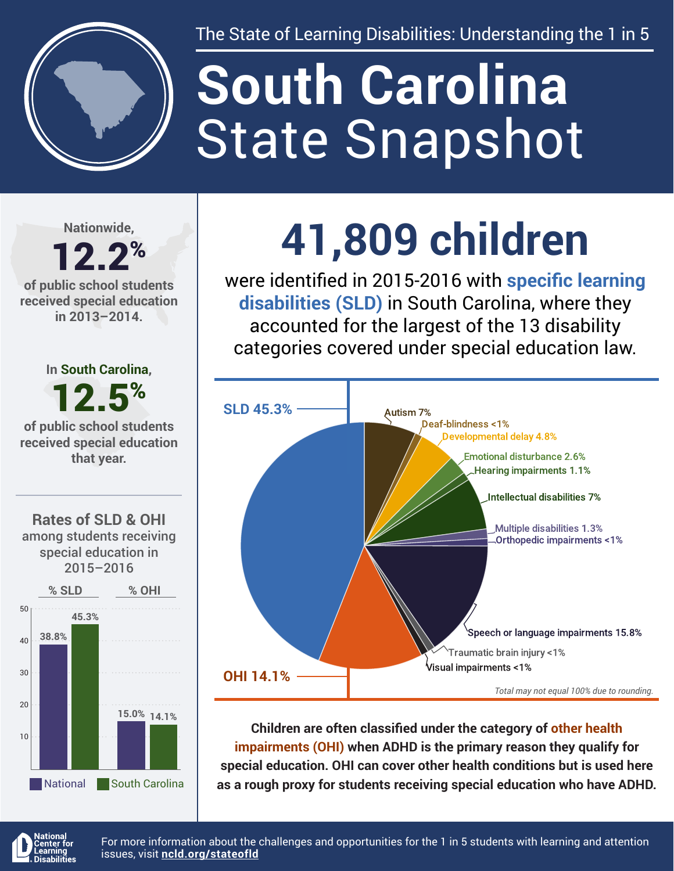

The State of Learning Disabilities: Understanding the 1 in 5

# State Snapshot **South Carolina**

**Nationwide,**

#### 12.2% **of public school students received special education in 2013–2014.**





# **41,809 children**

were identified in 2015-2016 with **specific learning disabilities (SLD)** in South Carolina, where they accounted for the largest of the 13 disability categories covered under special education law.



**Children are often classified under the category of other health impairments (OHI) when ADHD is the primary reason they qualify for special education. OHI can cover other health conditions but is used here as a rough proxy for students receiving special education who have ADHD.**



For more information about the challenges and opportunities for the 1 in 5 students with learning and attention issues, visit **[ncld.org/stateofld](http://ncld.org/stateofld)**